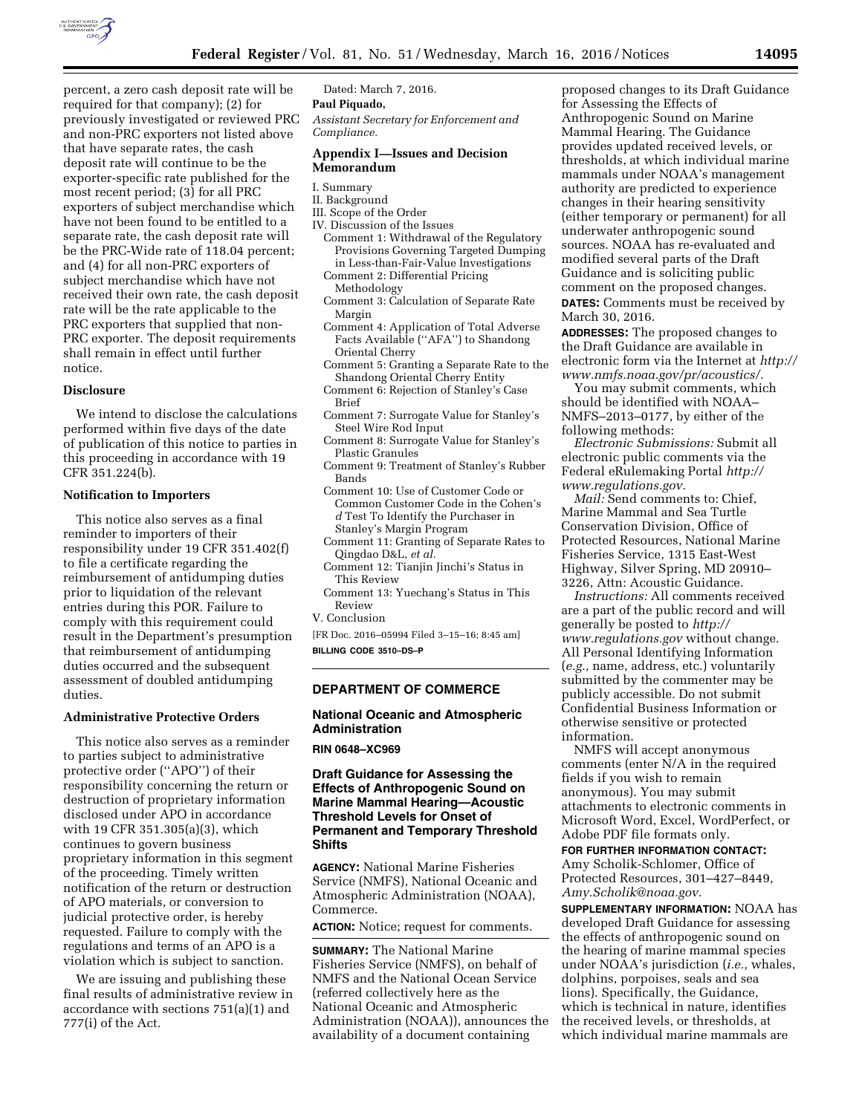

percent, a zero cash deposit rate will be required for that company); (2) for previously investigated or reviewed PRC and non-PRC exporters not listed above that have separate rates, the cash deposit rate will continue to be the exporter-specific rate published for the most recent period; (3) for all PRC exporters of subject merchandise which have not been found to be entitled to a separate rate, the cash deposit rate will be the PRC-Wide rate of 118.04 percent; and (4) for all non-PRC exporters of subject merchandise which have not received their own rate, the cash deposit rate will be the rate applicable to the PRC exporters that supplied that non-PRC exporter. The deposit requirements shall remain in effect until further notice.

### **Disclosure**

We intend to disclose the calculations performed within five days of the date of publication of this notice to parties in this proceeding in accordance with 19 CFR 351.224(b).

#### **Notification to Importers**

This notice also serves as a final reminder to importers of their responsibility under 19 CFR 351.402(f) to file a certificate regarding the reimbursement of antidumping duties prior to liquidation of the relevant entries during this POR. Failure to comply with this requirement could result in the Department's presumption that reimbursement of antidumping duties occurred and the subsequent assessment of doubled antidumping duties.

### **Administrative Protective Orders**

This notice also serves as a reminder to parties subject to administrative protective order (''APO'') of their responsibility concerning the return or destruction of proprietary information disclosed under APO in accordance with 19 CFR 351.305(a)(3), which continues to govern business proprietary information in this segment of the proceeding. Timely written notification of the return or destruction of APO materials, or conversion to judicial protective order, is hereby requested. Failure to comply with the regulations and terms of an APO is a violation which is subject to sanction.

We are issuing and publishing these final results of administrative review in accordance with sections 751(a)(1) and 777(i) of the Act.

Dated: March 7, 2016.

**Paul Piquado,** 

*Assistant Secretary for Enforcement and Compliance.* 

## **Appendix I—Issues and Decision Memorandum**

- I. Summary
- II. Background
- III. Scope of the Order
- IV. Discussion of the Issues
- Comment 1: Withdrawal of the Regulatory Provisions Governing Targeted Dumping in Less-than-Fair-Value Investigations Comment 2: Differential Pricing
- Methodology
- Comment 3: Calculation of Separate Rate Margin
- Comment 4: Application of Total Adverse Facts Available (''AFA'') to Shandong Oriental Cherry
- Comment 5: Granting a Separate Rate to the Shandong Oriental Cherry Entity
- Comment 6: Rejection of Stanley's Case Brief
- Comment 7: Surrogate Value for Stanley's Steel Wire Rod Input
- Comment 8: Surrogate Value for Stanley's Plastic Granules
- Comment 9: Treatment of Stanley's Rubber Bands
- Comment 10: Use of Customer Code or Common Customer Code in the Cohen's *d* Test To Identify the Purchaser in Stanley's Margin Program
- Comment 11: Granting of Separate Rates to Qingdao D&L, *et al.*
- Comment 12: Tianjin Jinchi's Status in This Review
- Comment 13: Yuechang's Status in This Review
- V. Conclusion

[FR Doc. 2016–05994 Filed 3–15–16; 8:45 am] **BILLING CODE 3510–DS–P** 

#### **DEPARTMENT OF COMMERCE**

#### **National Oceanic and Atmospheric Administration**

# **RIN 0648–XC969**

## **Draft Guidance for Assessing the Effects of Anthropogenic Sound on Marine Mammal Hearing—Acoustic Threshold Levels for Onset of Permanent and Temporary Threshold Shifts**

**AGENCY:** National Marine Fisheries Service (NMFS), National Oceanic and Atmospheric Administration (NOAA), Commerce.

**ACTION:** Notice; request for comments.

**SUMMARY:** The National Marine Fisheries Service (NMFS), on behalf of NMFS and the National Ocean Service (referred collectively here as the National Oceanic and Atmospheric Administration (NOAA)), announces the availability of a document containing

proposed changes to its Draft Guidance for Assessing the Effects of Anthropogenic Sound on Marine Mammal Hearing. The Guidance provides updated received levels, or thresholds, at which individual marine mammals under NOAA's management authority are predicted to experience changes in their hearing sensitivity (either temporary or permanent) for all underwater anthropogenic sound sources. NOAA has re-evaluated and modified several parts of the Draft Guidance and is soliciting public comment on the proposed changes. **DATES:** Comments must be received by March 30, 2016.

**ADDRESSES:** The proposed changes to the Draft Guidance are available in electronic form via the Internet at *[http://](http://www.nmfs.noaa.gov/pr/acoustics/) [www.nmfs.noaa.gov/pr/acoustics/.](http://www.nmfs.noaa.gov/pr/acoustics/)* 

You may submit comments, which should be identified with NOAA– NMFS–2013–0177, by either of the following methods:

*Electronic Submissions:* Submit all electronic public comments via the Federal eRulemaking Portal *[http://](http://www.regulations.gov) [www.regulations.gov.](http://www.regulations.gov)* 

*Mail:* Send comments to: Chief, Marine Mammal and Sea Turtle Conservation Division, Office of Protected Resources, National Marine Fisheries Service, 1315 East-West Highway, Silver Spring, MD 20910– 3226, Attn: Acoustic Guidance.

*Instructions:* All comments received are a part of the public record and will generally be posted to *[http://](http://www.regulations.gov) [www.regulations.gov](http://www.regulations.gov)* without change. All Personal Identifying Information (*e.g.,* name, address, etc.) voluntarily submitted by the commenter may be publicly accessible. Do not submit Confidential Business Information or otherwise sensitive or protected information.

NMFS will accept anonymous comments (enter N/A in the required fields if you wish to remain anonymous). You may submit attachments to electronic comments in Microsoft Word, Excel, WordPerfect, or Adobe PDF file formats only.

#### **FOR FURTHER INFORMATION CONTACT:**

Amy Scholik-Schlomer, Office of Protected Resources, 301–427–8449, *[Amy.Scholik@noaa.gov.](mailto:Amy.Scholik@noaa.gov)* 

**SUPPLEMENTARY INFORMATION:** NOAA has developed Draft Guidance for assessing the effects of anthropogenic sound on the hearing of marine mammal species under NOAA's jurisdiction (*i.e.,* whales, dolphins, porpoises, seals and sea lions). Specifically, the Guidance, which is technical in nature, identifies the received levels, or thresholds, at which individual marine mammals are